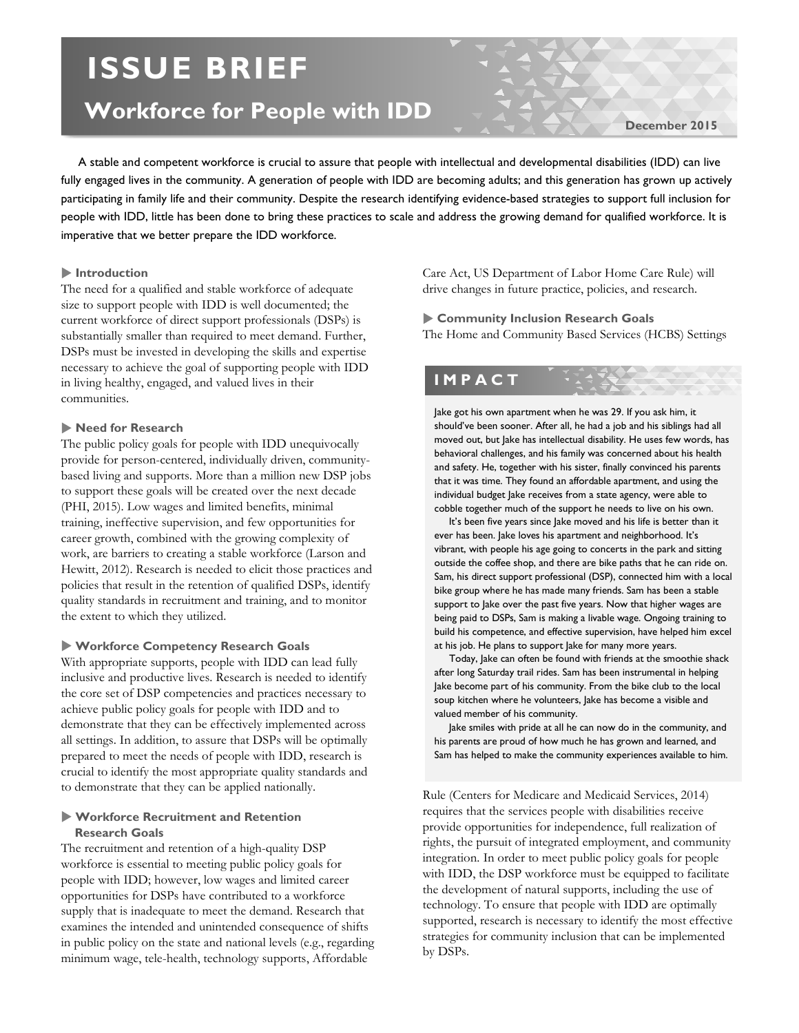# **ISSUE BRIEF**

# **Workforce for People with IDD**

**December 2015**

 A stable and competent workforce is crucial to assure that people with intellectual and developmental disabilities (IDD) can live fully engaged lives in the community. A generation of people with IDD are becoming adults; and this generation has grown up actively participating in family life and their community. Despite the research identifying evidence-based strategies to support full inclusion for people with IDD, little has been done to bring these practices to scale and address the growing demand for qualified workforce. It is imperative that we better prepare the IDD workforce.

## **Introduction**

The need for a qualified and stable workforce of adequate size to support people with IDD is well documented; the current workforce of direct support professionals (DSPs) is substantially smaller than required to meet demand. Further, DSPs must be invested in developing the skills and expertise necessary to achieve the goal of supporting people with IDD in living healthy, engaged, and valued lives in their communities.

#### **Need for Research**

The public policy goals for people with IDD unequivocally provide for person-centered, individually driven, communitybased living and supports. More than a million new DSP jobs to support these goals will be created over the next decade (PHI, 2015). Low wages and limited benefits, minimal training, ineffective supervision, and few opportunities for career growth, combined with the growing complexity of work, are barriers to creating a stable workforce (Larson and Hewitt, 2012). Research is needed to elicit those practices and policies that result in the retention of qualified DSPs, identify quality standards in recruitment and training, and to monitor the extent to which they utilized.

#### **Workforce Competency Research Goals**

With appropriate supports, people with IDD can lead fully inclusive and productive lives. Research is needed to identify the core set of DSP competencies and practices necessary to achieve public policy goals for people with IDD and to demonstrate that they can be effectively implemented across all settings. In addition, to assure that DSPs will be optimally prepared to meet the needs of people with IDD, research is crucial to identify the most appropriate quality standards and to demonstrate that they can be applied nationally.

# **Workforce Recruitment and Retention Research Goals**

The recruitment and retention of a high-quality DSP workforce is essential to meeting public policy goals for people with IDD; however, low wages and limited career opportunities for DSPs have contributed to a workforce supply that is inadequate to meet the demand. Research that examines the intended and unintended consequence of shifts in public policy on the state and national levels (e.g., regarding minimum wage, tele-health, technology supports, Affordable

Care Act, US Department of Labor Home Care Rule) will drive changes in future practice, policies, and research.

 **Community Inclusion Research Goals** The Home and Community Based Services (HCBS) Settings

# **IMPACT**

Jake got his own apartment when he was 29. If you ask him, it should've been sooner. After all, he had a job and his siblings had all moved out, but Jake has intellectual disability. He uses few words, has behavioral challenges, and his family was concerned about his health and safety. He, together with his sister, finally convinced his parents that it was time. They found an affordable apartment, and using the individual budget Jake receives from a state agency, were able to cobble together much of the support he needs to live on his own.

It's been five years since Jake moved and his life is better than it ever has been. Jake loves his apartment and neighborhood. It's vibrant, with people his age going to concerts in the park and sitting outside the coffee shop, and there are bike paths that he can ride on. Sam, his direct support professional (DSP), connected him with a local bike group where he has made many friends. Sam has been a stable support to Jake over the past five years. Now that higher wages are being paid to DSPs, Sam is making a livable wage. Ongoing training to build his competence, and effective supervision, have helped him excel at his job. He plans to support Jake for many more years.

 Today, Jake can often be found with friends at the smoothie shack after long Saturday trail rides. Sam has been instrumental in helping Jake become part of his community. From the bike club to the local soup kitchen where he volunteers, Jake has become a visible and valued member of his community.

 Jake smiles with pride at all he can now do in the community, and his parents are proud of how much he has grown and learned, and Sam has helped to make the community experiences available to him.

Rule (Centers for Medicare and Medicaid Services, 2014) requires that the services people with disabilities receive provide opportunities for independence, full realization of rights, the pursuit of integrated employment, and community integration. In order to meet public policy goals for people with IDD, the DSP workforce must be equipped to facilitate the development of natural supports, including the use of technology. To ensure that people with IDD are optimally supported, research is necessary to identify the most effective strategies for community inclusion that can be implemented by DSPs.